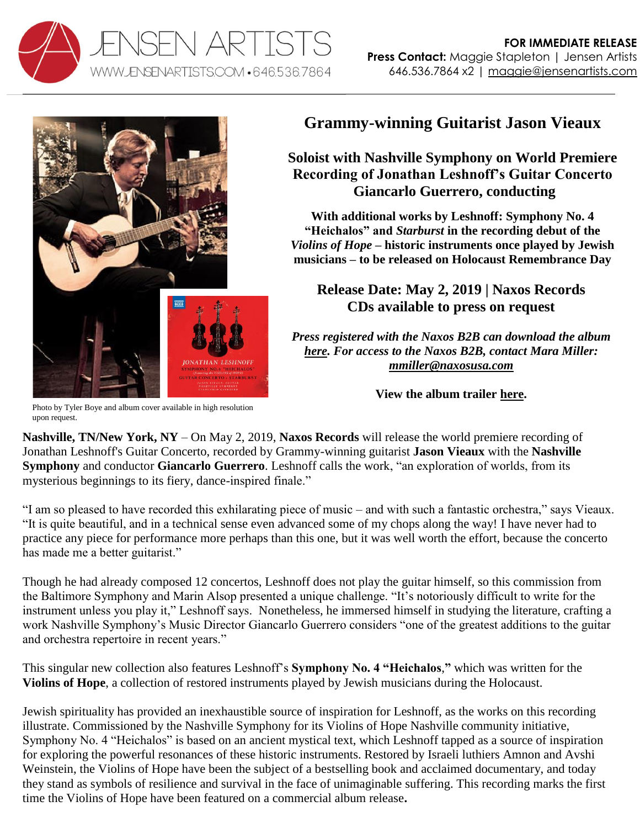



# **Grammy-winning Guitarist Jason Vieaux**

# **Soloist with Nashville Symphony on World Premiere Recording of Jonathan Leshnoff's Guitar Concerto Giancarlo Guerrero, conducting**

**With additional works by Leshnoff: Symphony No. 4 "Heichalos" and** *Starburst* **in the recording debut of the**  *Violins of Hope* **– historic instruments once played by Jewish musicians – to be released on Holocaust Remembrance Day**

# **Release Date: May 2, 2019 | Naxos Records CDs available to press on request**

*Press registered with the Naxos B2B can download the album [here.](https://b2b.naxosusa.com/Album.aspx?product=8559809&medium=phy) For access to the Naxos B2B, contact Mara Miller: [mmiller@naxosusa.com](mailto:mmiller@naxosusa.com)*

**View the album trailer [here.](http://www.youtube.com/watch?v=nWhxYQ_O5f4)**

Photo by Tyler Boye and album cover available in high resolution upon request.

**Nashville, TN/New York, NY** – On May 2, 2019, **Naxos Records** will release the world premiere recording of Jonathan Leshnoff's Guitar Concerto, recorded by Grammy-winning guitarist **Jason Vieaux** with the **Nashville Symphony** and conductor **Giancarlo Guerrero**. Leshnoff calls the work, "an exploration of worlds, from its mysterious beginnings to its fiery, dance-inspired finale."

"I am so pleased to have recorded this exhilarating piece of music – and with such a fantastic orchestra," says Vieaux. "It is quite beautiful, and in a technical sense even advanced some of my chops along the way! I have never had to practice any piece for performance more perhaps than this one, but it was well worth the effort, because the concerto has made me a better guitarist."

Though he had already composed 12 concertos, Leshnoff does not play the guitar himself, so this commission from the Baltimore Symphony and Marin Alsop presented a unique challenge. "It's notoriously difficult to write for the instrument unless you play it," Leshnoff says. Nonetheless, he immersed himself in studying the literature, crafting a work Nashville Symphony's Music Director Giancarlo Guerrero considers "one of the greatest additions to the guitar and orchestra repertoire in recent years."

This singular new collection also features Leshnoff's **Symphony No. 4 "Heichalos**,**"** which was written for the **Violins of Hope**, a collection of restored instruments played by Jewish musicians during the Holocaust.

Jewish spirituality has provided an inexhaustible source of inspiration for Leshnoff, as the works on this recording illustrate. Commissioned by the Nashville Symphony for its Violins of Hope Nashville community initiative, Symphony No. 4 "Heichalos" is based on an ancient mystical text, which Leshnoff tapped as a source of inspiration for exploring the powerful resonances of these historic instruments. Restored by Israeli luthiers Amnon and Avshi Weinstein, the Violins of Hope have been the subject of a bestselling book and acclaimed documentary, and today they stand as symbols of resilience and survival in the face of unimaginable suffering. This recording marks the first time the Violins of Hope have been featured on a commercial album release**.**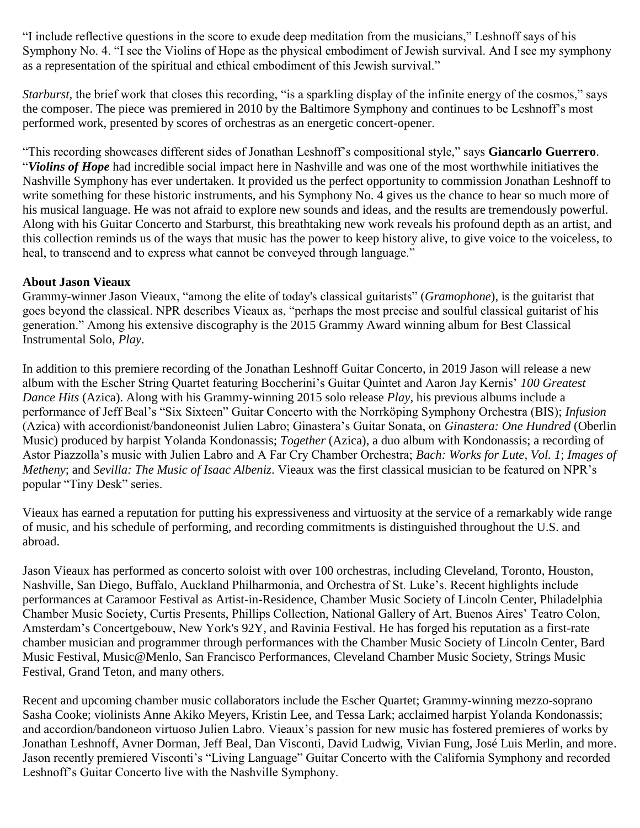"I include reflective questions in the score to exude deep meditation from the musicians," Leshnoff says of his Symphony No. 4. "I see the Violins of Hope as the physical embodiment of Jewish survival. And I see my symphony as a representation of the spiritual and ethical embodiment of this Jewish survival."

*Starburst,* the brief work that closes this recording, "is a sparkling display of the infinite energy of the cosmos," says the composer. The piece was premiered in 2010 by the Baltimore Symphony and continues to be Leshnoff's most performed work, presented by scores of orchestras as an energetic concert-opener.

"This recording showcases different sides of Jonathan Leshnoff's compositional style," says **Giancarlo Guerrero**. "*Violins of Hope* had incredible social impact here in Nashville and was one of the most worthwhile initiatives the Nashville Symphony has ever undertaken. It provided us the perfect opportunity to commission Jonathan Leshnoff to write something for these historic instruments, and his Symphony No. 4 gives us the chance to hear so much more of his musical language. He was not afraid to explore new sounds and ideas, and the results are tremendously powerful. Along with his Guitar Concerto and Starburst, this breathtaking new work reveals his profound depth as an artist, and this collection reminds us of the ways that music has the power to keep history alive, to give voice to the voiceless, to heal, to transcend and to express what cannot be conveyed through language."

### **About Jason Vieaux**

Grammy-winner Jason Vieaux, "among the elite of today's classical guitarists" (*Gramophone*), is the guitarist that goes beyond the classical. NPR describes Vieaux as, "perhaps the most precise and soulful classical guitarist of his generation." Among his extensive discography is the 2015 Grammy Award winning album for Best Classical Instrumental Solo, *Play*.

In addition to this premiere recording of the Jonathan Leshnoff Guitar Concerto, in 2019 Jason will release a new album with the Escher String Quartet featuring Boccherini's Guitar Quintet and Aaron Jay Kernis' *100 Greatest Dance Hits* (Azica). Along with his Grammy-winning 2015 solo release *Play*, his previous albums include a performance of Jeff Beal's "Six Sixteen" Guitar Concerto with the Norrköping Symphony Orchestra (BIS); *Infusion* (Azica) with accordionist/bandoneonist Julien Labro; Ginastera's Guitar Sonata, on *Ginastera: One Hundred* (Oberlin Music) produced by harpist Yolanda Kondonassis; *Together* (Azica), a duo album with Kondonassis; a recording of Astor Piazzolla's music with Julien Labro and A Far Cry Chamber Orchestra; *Bach: Works for Lute, Vol. 1*; *Images of Metheny*; and *Sevilla: The Music of Isaac Albeniz*. Vieaux was the first classical musician to be featured on NPR's popular "Tiny Desk" series.

Vieaux has earned a reputation for putting his expressiveness and virtuosity at the service of a remarkably wide range of music, and his schedule of performing, and recording commitments is distinguished throughout the U.S. and abroad.

Jason Vieaux has performed as concerto soloist with over 100 orchestras, including Cleveland, Toronto, Houston, Nashville, San Diego, Buffalo, Auckland Philharmonia, and Orchestra of St. Luke's. Recent highlights include performances at Caramoor Festival as Artist-in-Residence, Chamber Music Society of Lincoln Center, Philadelphia Chamber Music Society, Curtis Presents, Phillips Collection, National Gallery of Art, Buenos Aires' Teatro Colon, Amsterdam's Concertgebouw, New York's 92Y, and Ravinia Festival. He has forged his reputation as a first-rate chamber musician and programmer through performances with the Chamber Music Society of Lincoln Center, Bard Music Festival, Music@Menlo, San Francisco Performances, Cleveland Chamber Music Society, Strings Music Festival, Grand Teton, and many others.

Recent and upcoming chamber music collaborators include the Escher Quartet; Grammy-winning mezzo-soprano Sasha Cooke; violinists Anne Akiko Meyers, Kristin Lee, and Tessa Lark; acclaimed harpist Yolanda Kondonassis; and accordion/bandoneon virtuoso Julien Labro. Vieaux's passion for new music has fostered premieres of works by Jonathan Leshnoff, Avner Dorman, Jeff Beal, Dan Visconti, David Ludwig, Vivian Fung, José Luis Merlin, and more. Jason recently premiered Visconti's "Living Language" Guitar Concerto with the California Symphony and recorded Leshnoff's Guitar Concerto live with the Nashville Symphony.